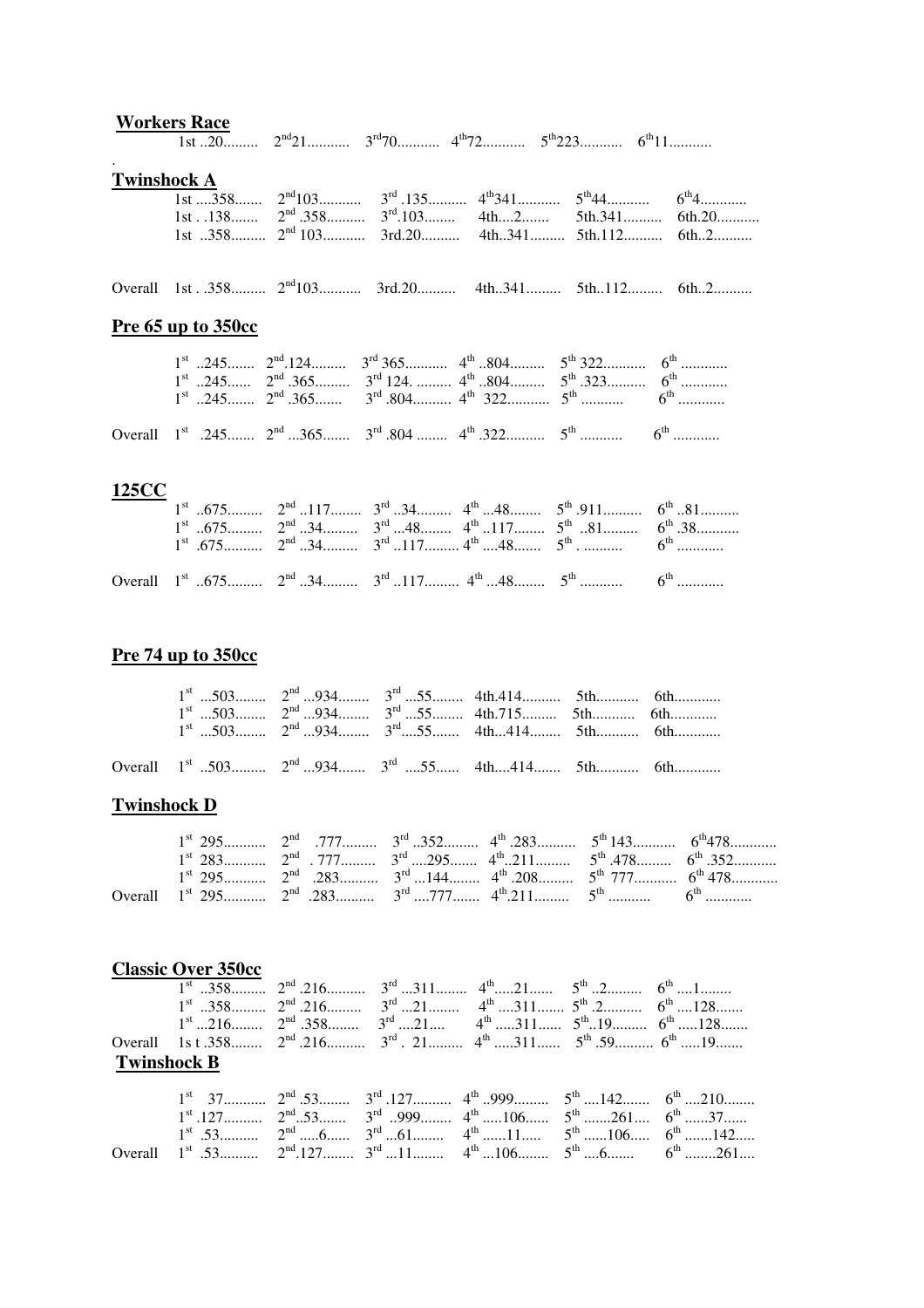|                    | <b>Workers Race</b> |                                                                                                                                                                                                                                                                                                                                                                     |  |                                                                                        |
|--------------------|---------------------|---------------------------------------------------------------------------------------------------------------------------------------------------------------------------------------------------------------------------------------------------------------------------------------------------------------------------------------------------------------------|--|----------------------------------------------------------------------------------------|
|                    |                     |                                                                                                                                                                                                                                                                                                                                                                     |  |                                                                                        |
| <b>Twinshock A</b> |                     |                                                                                                                                                                                                                                                                                                                                                                     |  |                                                                                        |
|                    |                     | $\overline{1st}$ 358 $2^{nd}103$ $3^{rd}$ .135 $4^{th}341$ $5^{th}44$ $6^{th}4$                                                                                                                                                                                                                                                                                     |  |                                                                                        |
|                    |                     | 1st 358 2 <sup>nd</sup> 103 3rd.20 4th341 5th.112 6th2                                                                                                                                                                                                                                                                                                              |  | 1st. $.138$ 2 <sup>nd</sup> $.358$ 3 <sup>rd</sup> $.103$ 4th $2$ 5th $.341$ 6th $.20$ |
|                    |                     |                                                                                                                                                                                                                                                                                                                                                                     |  |                                                                                        |
|                    |                     | Overall 1st. 358 2 <sup>nd</sup> 103 3rd.20 4th341 5th112 6th2                                                                                                                                                                                                                                                                                                      |  |                                                                                        |
|                    | Pre 65 up to 350cc  |                                                                                                                                                                                                                                                                                                                                                                     |  |                                                                                        |
|                    |                     | $1^{\text{st}}$ 245 $2^{\text{nd}}$ .124 $3^{\text{rd}}$ 365 $4^{\text{th}}$ 804 $5^{\text{th}}$ 322 $6^{\text{th}}$<br>$1^{\text{st}}$ 245 $2^{\text{nd}}$ .365 $3^{\text{rd}}$ 124. $4^{\text{th}}$ 804 $5^{\text{th}}$ .323 $6^{\text{th}}$<br>$1^{\text{st}}$ 245 $2^{\text{nd}}$ .365 $3^{\text{rd}}$ .804 $4^{\text{th}}$ 322 $5^{\text{th}}$ $6^{\text{th}}$ |  |                                                                                        |
|                    |                     | Overall $1^{st}$ .245 $2^{nd}$ 365 $3^{rd}$ .804 $4^{th}$ .322 $5^{th}$ $6^{th}$                                                                                                                                                                                                                                                                                    |  |                                                                                        |
| 125CC              |                     | $1^{\text{st}}$ 675 $2^{\text{nd}}$ 117 $3^{\text{rd}}$ 34 $4^{\text{th}}$ 48 $5^{\text{th}}$ .911 $6^{\text{th}}$ 81<br>$1^{\text{st}}$ 675 $2^{\text{nd}}$ 34 $3^{\text{rd}}$ 48 $4^{\text{th}}$ 117 $5^{\text{th}}$ 81 $6^{\text{th}}$ .38<br>$1^{\text{st}}$ .675 $2^{\text{nd}}$ 34 $3^{\text{rd}}$ 117 $4^{\text{th}}$ 48 $5^{\text{th}}$ $6^{\text{th}}$     |  |                                                                                        |
|                    |                     |                                                                                                                                                                                                                                                                                                                                                                     |  |                                                                                        |

## **Pre 74 up to 350cc**

| $1^{st}$ 503 $2^{nd}$ 934 $3^{rd}$ 55 4th.715 5th 6th<br>$1^{st}$ 503 $2^{nd}$ 934 $3^{rd}$ 55 4th 414 5th  6th | $1^{\text{st}}$ 503 $2^{\text{nd}}$ 934 $3^{\text{rd}}$ 55 4th.414 5th 6th |  |  |  |
|-----------------------------------------------------------------------------------------------------------------|----------------------------------------------------------------------------|--|--|--|
| Overall 1 <sup>st</sup> 503 2 <sup>nd</sup> 934 3 <sup>rd</sup> 55 4th414 5th 6th                               |                                                                            |  |  |  |

Overall 1st ..675......... 2nd ..34......... 3rd ..117......... 4th ...48........ 5th ........... 6th ............

## **Twinshock D**

|  | $1^{st}$ 295 $\ldots$ $2^{nd}$ $283$ $283$ $3^{rd}$ $144$ $3^{rd}$ $208$ $3^{rd}$ $277$ $3^{rd}$ $5^{rd}$ $777$ $6^{rd}$ $478$ $5^{rd}$ |  |  |
|--|-----------------------------------------------------------------------------------------------------------------------------------------|--|--|
|  | Overall $1^{st}$ 295 $2^{nd}$ .283 $3^{rd}$ 777 $4^{th}$ 211 $5^{th}$ $6^{th}$                                                          |  |  |

|                    | <b>Classic Over 350cc</b> |  |  |                                                                                                                        |  |                                                                                                                       |  |
|--------------------|---------------------------|--|--|------------------------------------------------------------------------------------------------------------------------|--|-----------------------------------------------------------------------------------------------------------------------|--|
|                    |                           |  |  | $1^{\text{st}}$ 358 $2^{\text{nd}}$ 216 $3^{\text{rd}}$ 311 $4^{\text{th}}$ $5^{\text{th}}$ 2 $6^{\text{th}}$ 1        |  |                                                                                                                       |  |
|                    |                           |  |  | $1^{\text{st}}$ 358 $2^{\text{nd}}$ 216 $3^{\text{rd}}$ $4^{\text{th}}$ 311 $5^{\text{th}}$ $6^{\text{th}}$ 128        |  |                                                                                                                       |  |
|                    |                           |  |  | $1^{\text{st}}$ 216 $2^{\text{nd}}$ .358 $3^{\text{rd}}$ 21 $4^{\text{th}}$ 311 $5^{\text{th}}$ 19 $6^{\text{th}}$ 128 |  |                                                                                                                       |  |
|                    |                           |  |  | Overall 1s t .358 $2^{nd}$ .216 $3^{rd}$ . 21 $4^{th}$ 311 $5^{th}$ .59 $6^{th}$ 19                                    |  |                                                                                                                       |  |
| <b>Twinshock B</b> |                           |  |  |                                                                                                                        |  |                                                                                                                       |  |
|                    |                           |  |  |                                                                                                                        |  | $1^{\text{st}}$ 37 $2^{\text{nd}}$ 53 $3^{\text{rd}}$ 127 $4^{\text{th}}$ 999 $5^{\text{th}}$ 142 $6^{\text{th}}$ 210 |  |
|                    |                           |  |  |                                                                                                                        |  |                                                                                                                       |  |
|                    |                           |  |  |                                                                                                                        |  | $1^{\text{st}}$ .53 $2^{\text{nd}}$ 6 $3^{\text{rd}}$ 61 $4^{\text{th}}$ 11 $5^{\text{th}}$ 106 $6^{\text{th}}$ 142   |  |
| Overall            |                           |  |  |                                                                                                                        |  | $1^{st}$ .53 $2^{nd}$ .127 $3^{rd}$ 11 $4^{th}$ 106 $5^{th}$ 6 $6^{th}$ 261                                           |  |